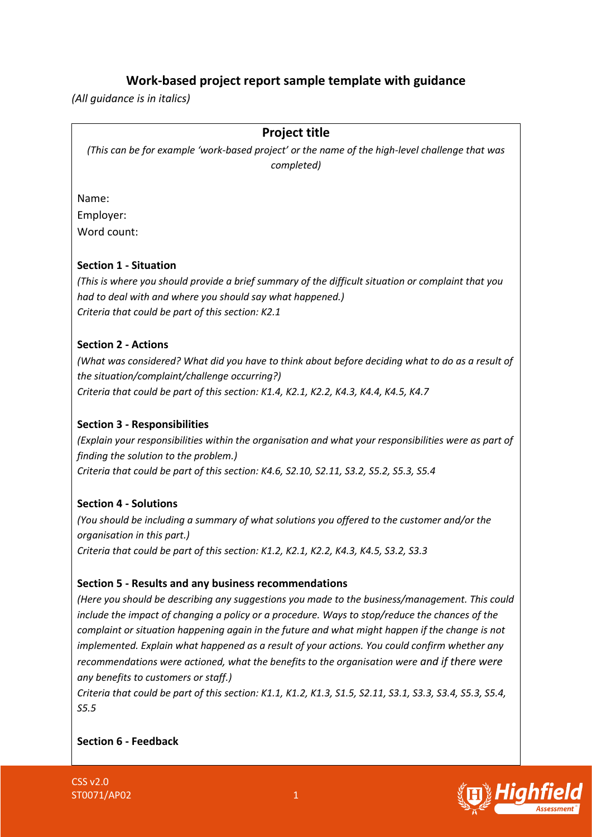# **Work-based project report sample template with guidance**

*(All guidance is in italics)*

## **Project title**

*(This can be for example 'work-based project' or the name of the high-level challenge that was completed)*

Name: Employer: Word count:

#### **Section 1 - Situation**

*(This is where you should provide a brief summary of the difficult situation or complaint that you had to deal with and where you should say what happened.) Criteria that could be part of this section: K2.1*

#### **Section 2 - Actions**

*(What was considered? What did you have to think about before deciding what to do as a result of the situation/complaint/challenge occurring?) Criteria that could be part of this section: K1.4, K2.1, K2.2, K4.3, K4.4, K4.5, K4.7*

#### **Section 3 - Responsibilities**

*(Explain your responsibilities within the organisation and what your responsibilities were as part of finding the solution to the problem.) Criteria that could be part of this section: K4.6, S2.10, S2.11, S3.2, S5.2, S5.3, S5.4*

#### **Section 4 - Solutions**

*(You should be including a summary of what solutions you offered to the customer and/or the organisation in this part.) Criteria that could be part of this section: K1.2, K2.1, K2.2, K4.3, K4.5, S3.2, S3.3*

#### **Section 5 - Results and any business recommendations**

*(Here you should be describing any suggestions you made to the business/management. This could include the impact of changing a policy or a procedure. Ways to stop/reduce the chances of the complaint or situation happening again in the future and what might happen if the change is not implemented. Explain what happened as a result of your actions. You could confirm whether any recommendations were actioned, what the benefits to the organisation were and if there were any benefits to customers or staff.)*

*Criteria that could be part of this section: K1.1, K1.2, K1.3, S1.5, S2.11, S3.1, S3.3, S3.4, S5.3, S5.4, S5.5*

**Section 6 - Feedback**